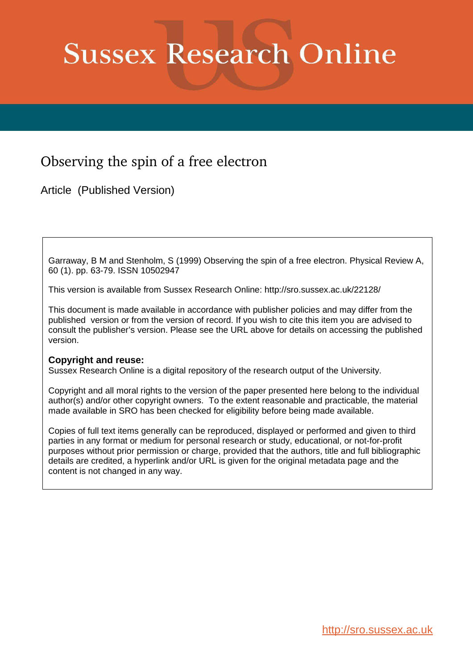# **Sussex Research Online**

## Observing the spin of a free electron

Article (Published Version)

Garraway, B M and Stenholm, S (1999) Observing the spin of a free electron. Physical Review A, 60 (1). pp. 63-79. ISSN 10502947

This version is available from Sussex Research Online: http://sro.sussex.ac.uk/22128/

This document is made available in accordance with publisher policies and may differ from the published version or from the version of record. If you wish to cite this item you are advised to consult the publisher's version. Please see the URL above for details on accessing the published version.

### **Copyright and reuse:**

Sussex Research Online is a digital repository of the research output of the University.

Copyright and all moral rights to the version of the paper presented here belong to the individual author(s) and/or other copyright owners. To the extent reasonable and practicable, the material made available in SRO has been checked for eligibility before being made available.

Copies of full text items generally can be reproduced, displayed or performed and given to third parties in any format or medium for personal research or study, educational, or not-for-profit purposes without prior permission or charge, provided that the authors, title and full bibliographic details are credited, a hyperlink and/or URL is given for the original metadata page and the content is not changed in any way.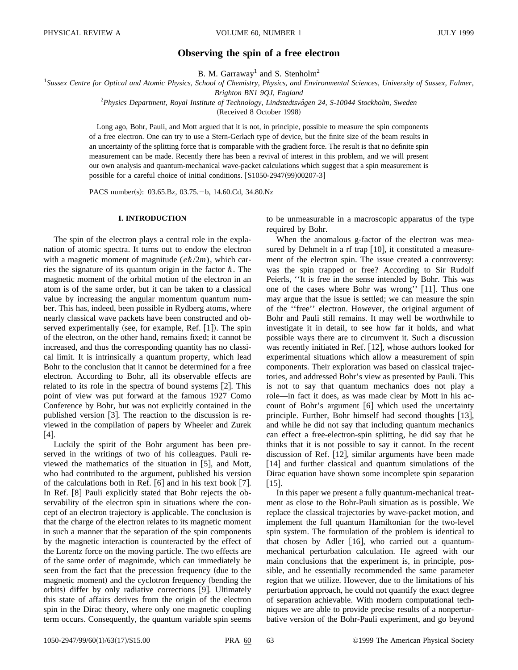#### **Observing the spin of a free electron**

B. M. Garraway<sup>1</sup> and S. Stenholm<sup>2</sup>

1 *Sussex Centre for Optical and Atomic Physics, School of Chemistry, Physics, and Environmental Sciences, University of Sussex, Falmer,*

*Brighton BN1 9QJ, England*

<sup>2</sup>Physics Department, Royal Institute of Technology, Lindstedtsvägen 24, S-10044 Stockholm, Sweden

(Received 8 October 1998)

Long ago, Bohr, Pauli, and Mott argued that it is not, in principle, possible to measure the spin components of a free electron. One can try to use a Stern-Gerlach type of device, but the finite size of the beam results in an uncertainty of the splitting force that is comparable with the gradient force. The result is that no definite spin measurement can be made. Recently there has been a revival of interest in this problem, and we will present our own analysis and quantum-mechanical wave-packet calculations which suggest that a spin measurement is possible for a careful choice of initial conditions.  $[$1050-2947(99)00207-3]$ 

PACS number(s):  $03.65.Bz$ ,  $03.75.-b$ , 14.60.Cd, 34.80.Nz

#### **I. INTRODUCTION**

The spin of the electron plays a central role in the explanation of atomic spectra. It turns out to endow the electron with a magnetic moment of magnitude ( $e\hbar/2m$ ), which carries the signature of its quantum origin in the factor  $\hbar$ . The magnetic moment of the orbital motion of the electron in an atom is of the same order, but it can be taken to a classical value by increasing the angular momentum quantum number. This has, indeed, been possible in Rydberg atoms, where nearly classical wave packets have been constructed and observed experimentally (see, for example, Ref.  $[1]$ ). The spin of the electron, on the other hand, remains fixed; it cannot be increased, and thus the corresponding quantity has no classical limit. It is intrinsically a quantum property, which lead Bohr to the conclusion that it cannot be determined for a free electron. According to Bohr, all its observable effects are related to its role in the spectra of bound systems  $[2]$ . This point of view was put forward at the famous 1927 Como Conference by Bohr, but was not explicitly contained in the published version  $\lceil 3 \rceil$ . The reaction to the discussion is reviewed in the compilation of papers by Wheeler and Zurek  $|4|$ .

Luckily the spirit of the Bohr argument has been preserved in the writings of two of his colleagues. Pauli reviewed the mathematics of the situation in  $[5]$ , and Mott, who had contributed to the argument, published his version of the calculations both in Ref.  $[6]$  and in his text book  $[7]$ . In Ref. [8] Pauli explicitly stated that Bohr rejects the observability of the electron spin in situations where the concept of an electron trajectory is applicable. The conclusion is that the charge of the electron relates to its magnetic moment in such a manner that the separation of the spin components by the magnetic interaction is counteracted by the effect of the Lorentz force on the moving particle. The two effects are of the same order of magnitude, which can immediately be seen from the fact that the precession frequency (due to the magnetic moment) and the cyclotron frequency (bending the orbits) differ by only radiative corrections [9]. Ultimately this state of affairs derives from the origin of the electron spin in the Dirac theory, where only one magnetic coupling term occurs. Consequently, the quantum variable spin seems to be unmeasurable in a macroscopic apparatus of the type required by Bohr.

When the anomalous g-factor of the electron was measured by Dehmelt in a rf trap  $[10]$ , it constituted a measurement of the electron spin. The issue created a controversy: was the spin trapped or free? According to Sir Rudolf Peierls, ''It is free in the sense intended by Bohr. This was one of the cases where Bohr was wrong" [11]. Thus one may argue that the issue is settled; we can measure the spin of the ''free'' electron. However, the original argument of Bohr and Pauli still remains. It may well be worthwhile to investigate it in detail, to see how far it holds, and what possible ways there are to circumvent it. Such a discussion was recently initiated in Ref.  $[12]$ , whose authors looked for experimental situations which allow a measurement of spin components. Their exploration was based on classical trajectories, and addressed Bohr's view as presented by Pauli. This is not to say that quantum mechanics does not play a role—in fact it does, as was made clear by Mott in his account of Bohr's argument  $|6|$  which used the uncertainty principle. Further, Bohr himself had second thoughts  $[13]$ , and while he did not say that including quantum mechanics can effect a free-electron-spin splitting, he did say that he thinks that it is not possible to say it cannot. In the recent discussion of Ref.  $[12]$ , similar arguments have been made  $[14]$  and further classical and quantum simulations of the Dirac equation have shown some incomplete spin separation  $\lfloor 15 \rfloor$ .

In this paper we present a fully quantum-mechanical treatment as close to the Bohr-Pauli situation as is possible. We replace the classical trajectories by wave-packet motion, and implement the full quantum Hamiltonian for the two-level spin system. The formulation of the problem is identical to that chosen by Adler  $[16]$ , who carried out a quantummechanical perturbation calculation. He agreed with our main conclusions that the experiment is, in principle, possible, and he essentially recommended the same parameter region that we utilize. However, due to the limitations of his perturbation approach, he could not quantify the exact degree of separation achievable. With modern computational techniques we are able to provide precise results of a nonperturbative version of the Bohr-Pauli experiment, and go beyond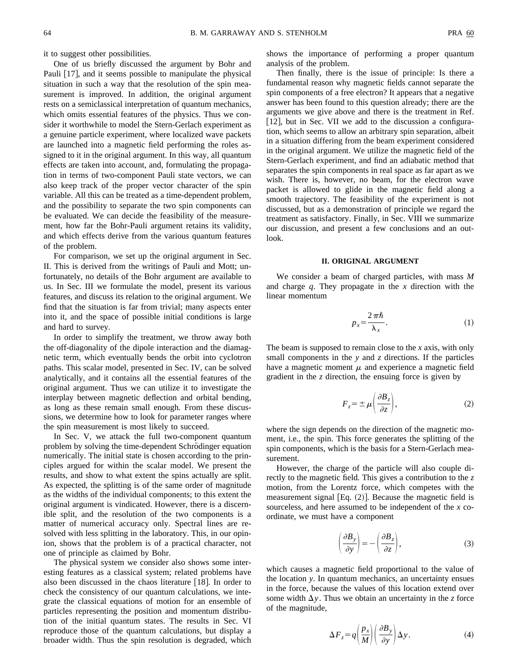it to suggest other possibilities.

One of us briefly discussed the argument by Bohr and Pauli [17], and it seems possible to manipulate the physical situation in such a way that the resolution of the spin measurement is improved. In addition, the original argument rests on a semiclassical interpretation of quantum mechanics, which omits essential features of the physics. Thus we consider it worthwhile to model the Stern-Gerlach experiment as a genuine particle experiment, where localized wave packets are launched into a magnetic field performing the roles assigned to it in the original argument. In this way, all quantum effects are taken into account, and, formulating the propagation in terms of two-component Pauli state vectors, we can also keep track of the proper vector character of the spin variable. All this can be treated as a time-dependent problem, and the possibility to separate the two spin components can be evaluated. We can decide the feasibility of the measurement, how far the Bohr-Pauli argument retains its validity, and which effects derive from the various quantum features of the problem.

For comparison, we set up the original argument in Sec. II. This is derived from the writings of Pauli and Mott; unfortunately, no details of the Bohr argument are available to us. In Sec. III we formulate the model, present its various features, and discuss its relation to the original argument. We find that the situation is far from trivial; many aspects enter into it, and the space of possible initial conditions is large and hard to survey.

In order to simplify the treatment, we throw away both the off-diagonality of the dipole interaction and the diamagnetic term, which eventually bends the orbit into cyclotron paths. This scalar model, presented in Sec. IV, can be solved analytically, and it contains all the essential features of the original argument. Thus we can utilize it to investigate the interplay between magnetic deflection and orbital bending, as long as these remain small enough. From these discussions, we determine how to look for parameter ranges where the spin measurement is most likely to succeed.

In Sec. V, we attack the full two-component quantum problem by solving the time-dependent Schrödinger equation numerically. The initial state is chosen according to the principles argued for within the scalar model. We present the results, and show to what extent the spins actually are split. As expected, the splitting is of the same order of magnitude as the widths of the individual components; to this extent the original argument is vindicated. However, there is a discernible split, and the resolution of the two components is a matter of numerical accuracy only. Spectral lines are resolved with less splitting in the laboratory. This, in our opinion, shows that the problem is of a practical character, not one of principle as claimed by Bohr.

The physical system we consider also shows some interesting features as a classical system; related problems have also been discussed in the chaos literature  $[18]$ . In order to check the consistency of our quantum calculations, we integrate the classical equations of motion for an ensemble of particles representing the position and momentum distribution of the initial quantum states. The results in Sec. VI reproduce those of the quantum calculations, but display a broader width. Thus the spin resolution is degraded, which shows the importance of performing a proper quantum analysis of the problem.

Then finally, there is the issue of principle: Is there a fundamental reason why magnetic fields cannot separate the spin components of a free electron? It appears that a negative answer has been found to this question already; there are the arguments we give above and there is the treatment in Ref.  $[12]$ , but in Sec. VII we add to the discussion a configuration, which seems to allow an arbitrary spin separation, albeit in a situation differing from the beam experiment considered in the original argument. We utilize the magnetic field of the Stern-Gerlach experiment, and find an adiabatic method that separates the spin components in real space as far apart as we wish. There is, however, no beam, for the electron wave packet is allowed to glide in the magnetic field along a smooth trajectory. The feasibility of the experiment is not discussed, but as a demonstration of principle we regard the treatment as satisfactory. Finally, in Sec. VIII we summarize our discussion, and present a few conclusions and an outlook.

#### **II. ORIGINAL ARGUMENT**

We consider a beam of charged particles, with mass *M* and charge *q*. They propagate in the *x* direction with the linear momentum

$$
p_x = \frac{2\pi\hbar}{\lambda_x}.
$$
 (1)

The beam is supposed to remain close to the *x* axis, with only small components in the *y* and *z* directions. If the particles have a magnetic moment  $\mu$  and experience a magnetic field gradient in the *z* direction, the ensuing force is given by

$$
F_z = \pm \mu \left( \frac{\partial B_z}{\partial z} \right),\tag{2}
$$

where the sign depends on the direction of the magnetic moment, i.e., the spin. This force generates the splitting of the spin components, which is the basis for a Stern-Gerlach measurement.

However, the charge of the particle will also couple directly to the magnetic field. This gives a contribution to the *z* motion, from the Lorentz force, which competes with the measurement signal  $[Eq. (2)]$ . Because the magnetic field is sourceless, and here assumed to be independent of the *x* coordinate, we must have a component

$$
\left(\frac{\partial B_y}{\partial y}\right) = -\left(\frac{\partial B_z}{\partial z}\right),\tag{3}
$$

which causes a magnetic field proportional to the value of the location *y*. In quantum mechanics, an uncertainty ensues in the force, because the values of this location extend over some width  $\Delta y$ . Thus we obtain an uncertainty in the *z* force of the magnitude,

$$
\Delta F_z = q \left( \frac{p_x}{M} \right) \left( \frac{\partial B_y}{\partial y} \right) \Delta y. \tag{4}
$$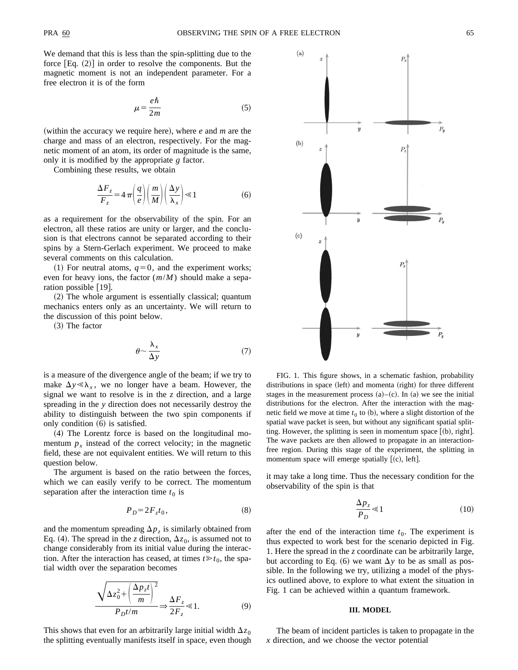We demand that this is less than the spin-splitting due to the force  $[Eq. (2)]$  in order to resolve the components. But the magnetic moment is not an independent parameter. For a free electron it is of the form

$$
\mu = \frac{e\hbar}{2m} \tag{5}
$$

(within the accuracy we require here), where  $e$  and  $m$  are the charge and mass of an electron, respectively. For the magnetic moment of an atom, its order of magnitude is the same, only it is modified by the appropriate *g* factor.

Combining these results, we obtain

$$
\frac{\Delta F_z}{F_z} = 4 \pi \left( \frac{q}{e} \right) \left( \frac{m}{M} \right) \left( \frac{\Delta y}{\lambda_x} \right) \ll 1 \tag{6}
$$

as a requirement for the observability of the spin. For an electron, all these ratios are unity or larger, and the conclusion is that electrons cannot be separated according to their spins by a Stern-Gerlach experiment. We proceed to make several comments on this calculation.

 $(1)$  For neutral atoms,  $q=0$ , and the experiment works; even for heavy ions, the factor (*m*/*M*) should make a separation possible  $[19]$ .

 $(2)$  The whole argument is essentially classical; quantum mechanics enters only as an uncertainty. We will return to the discussion of this point below.

(3) The factor

$$
\theta \sim \frac{\lambda_x}{\Delta y} \tag{7}
$$

is a measure of the divergence angle of the beam; if we try to make  $\Delta y \ll \lambda_x$ , we no longer have a beam. However, the signal we want to resolve is in the *z* direction, and a large spreading in the *y* direction does not necessarily destroy the ability to distinguish between the two spin components if only condition  $(6)$  is satisfied.

(4) The Lorentz force is based on the longitudinal momentum  $p_x$  instead of the correct velocity; in the magnetic field, these are not equivalent entities. We will return to this question below.

The argument is based on the ratio between the forces, which we can easily verify to be correct. The momentum separation after the interaction time  $t_0$  is

$$
P_D = 2F_z t_0,\t\t(8)
$$

and the momentum spreading  $\Delta p_z$  is similarly obtained from Eq. (4). The spread in the *z* direction,  $\Delta z_0$ , is assumed not to change considerably from its initial value during the interaction. After the interaction has ceased, at times  $t \geq t_0$ , the spatial width over the separation becomes

$$
\frac{\sqrt{\Delta z_0^2 + \left(\frac{\Delta p_z t}{m}\right)^2}}{P_D t/m} \Rightarrow \frac{\Delta F_z}{2F_z} \ll 1.
$$
 (9)

This shows that even for an arbitrarily large initial width  $\Delta z_0$ the splitting eventually manifests itself in space, even though



FIG. 1. This figure shows, in a schematic fashion, probability distributions in space (left) and momenta (right) for three different stages in the measurement process  $(a)$ – $(c)$ . In  $(a)$  we see the initial distributions for the electron. After the interaction with the magnetic field we move at time  $t_0$  to (b), where a slight distortion of the spatial wave packet is seen, but without any significant spatial splitting. However, the splitting is seen in momentum space  $[(b)$ , right. The wave packets are then allowed to propagate in an interactionfree region. During this stage of the experiment, the splitting in momentum space will emerge spatially  $[(c), left]$ .

it may take a long time. Thus the necessary condition for the observability of the spin is that

$$
\frac{\Delta p_z}{P_D} \ll 1\tag{10}
$$

after the end of the interaction time  $t_0$ . The experiment is thus expected to work best for the scenario depicted in Fig. 1. Here the spread in the *z* coordinate can be arbitrarily large, but according to Eq. (6) we want  $\Delta y$  to be as small as possible. In the following we try, utilizing a model of the physics outlined above, to explore to what extent the situation in Fig. 1 can be achieved within a quantum framework.

#### **III. MODEL**

The beam of incident particles is taken to propagate in the *x* direction, and we choose the vector potential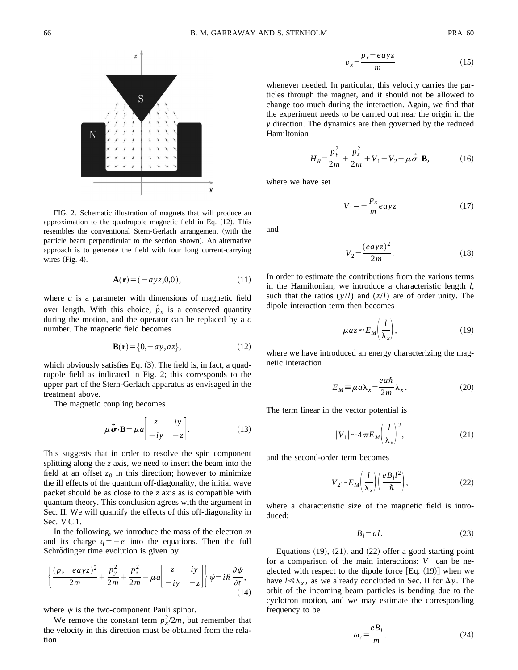

FIG. 2. Schematic illustration of magnets that will produce an approximation to the quadrupole magnetic field in Eq.  $(12)$ . This resembles the conventional Stern-Gerlach arrangement (with the particle beam perpendicular to the section shown). An alternative approach is to generate the field with four long current-carrying wires  $(Fig. 4)$ .

$$
\mathbf{A}(\mathbf{r}) = (-ayz, 0, 0),\tag{11}
$$

where *a* is a parameter with dimensions of magnetic field over length. With this choice,  $\hat{p}_x$  is a conserved quantity during the motion, and the operator can be replaced by a *c* number. The magnetic field becomes

$$
\mathbf{B}(\mathbf{r}) = \{0, -ay, az\},\tag{12}
$$

which obviously satisfies Eq.  $(3)$ . The field is, in fact, a quadrupole field as indicated in Fig. 2; this corresponds to the upper part of the Stern-Gerlach apparatus as envisaged in the treatment above.

The magnetic coupling becomes

$$
\vec{\boldsymbol{\mu}} \cdot \vec{\boldsymbol{\sigma}} \cdot \mathbf{B} = \vec{\boldsymbol{\mu}} a \begin{bmatrix} z & iy \\ -iy & -z \end{bmatrix} . \tag{13}
$$

This suggests that in order to resolve the spin component splitting along the *z* axis, we need to insert the beam into the field at an offset  $z_0$  in this direction; however to minimize the ill effects of the quantum off-diagonality, the initial wave packet should be as close to the *z* axis as is compatible with quantum theory. This conclusion agrees with the argument in Sec. II. We will quantify the effects of this off-diagonality in Sec. V C 1.

In the following, we introduce the mass of the electron *m* and its charge  $q=-e$  into the equations. Then the full Schrödinger time evolution is given by

$$
\left\{\frac{(p_x - eayz)^2}{2m} + \frac{p_y^2}{2m} + \frac{p_z^2}{2m} - \mu a \begin{bmatrix} z & iy \\ -iy & -z \end{bmatrix} \right\} \psi = i\hbar \frac{\partial \psi}{\partial t},\tag{14}
$$

where  $\psi$  is the two-component Pauli spinor.

We remove the constant term  $p_x^2/2m$ , but remember that the velocity in this direction must be obtained from the relation

$$
v_x = \frac{p_x - eayz}{m} \tag{15}
$$

whenever needed. In particular, this velocity carries the particles through the magnet, and it should not be allowed to change too much during the interaction. Again, we find that the experiment needs to be carried out near the origin in the *y* direction. The dynamics are then governed by the reduced Hamiltonian

$$
H_R = \frac{p_y^2}{2m} + \frac{p_z^2}{2m} + V_1 + V_2 - \mu \vec{\sigma} \cdot \mathbf{B},
$$
 (16)

where we have set

$$
V_1 = -\frac{p_x}{m}eayz\tag{17}
$$

and

$$
V_2 = \frac{(eayz)^2}{2m}.
$$
\n(18)

In order to estimate the contributions from the various terms in the Hamiltonian, we introduce a characteristic length *l*, such that the ratios (*y*/*l*) and (*z*/*l*) are of order unity. The dipole interaction term then becomes

$$
\mu az \approx E_M \bigg( \frac{l}{\lambda_x} \bigg), \tag{19}
$$

where we have introduced an energy characterizing the magnetic interaction

$$
E_M \equiv \mu a \lambda_x = \frac{ea\hbar}{2m} \lambda_x. \tag{20}
$$

The term linear in the vector potential is

$$
|V_1| \sim 4 \pi E_M \left(\frac{l}{\lambda_x}\right)^2,\tag{21}
$$

and the second-order term becomes

$$
V_2 \sim E_M \left(\frac{l}{\lambda_x}\right) \left(\frac{e B_l l^2}{\hbar}\right),\tag{22}
$$

where a characteristic size of the magnetic field is introduced:

$$
B_l = al. \tag{23}
$$

Equations  $(19)$ ,  $(21)$ , and  $(22)$  offer a good starting point for a comparison of the main interactions:  $V_1$  can be neglected with respect to the dipole force  $[Eq. (19)]$  when we have  $l \ll \lambda_x$ , as we already concluded in Sec. II for  $\Delta y$ . The orbit of the incoming beam particles is bending due to the cyclotron motion, and we may estimate the corresponding frequency to be

$$
\omega_c = \frac{e B_l}{m}.\tag{24}
$$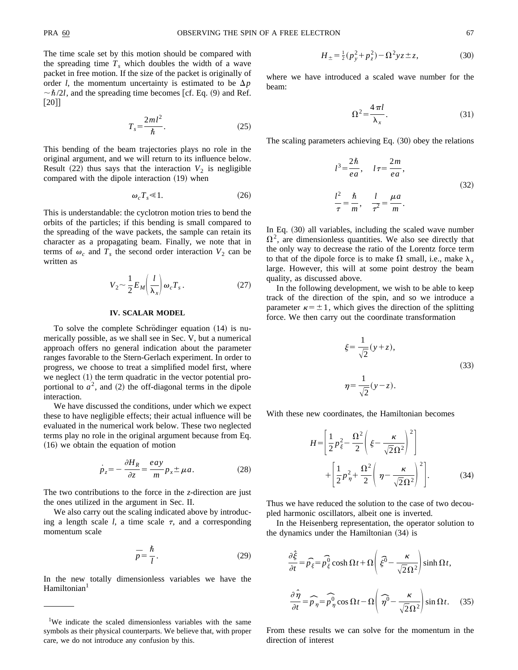The time scale set by this motion should be compared with the spreading time  $T_s$  which doubles the width of a wave packet in free motion. If the size of the packet is originally of order *l*, the momentum uncertainty is estimated to be  $\Delta p$  $\sim \frac{\hbar}{2l}$ , and the spreading time becomes [cf. Eq. (9) and Ref.  $[20]$ 

$$
T_s = \frac{2ml^2}{\hbar}.\tag{25}
$$

This bending of the beam trajectories plays no role in the original argument, and we will return to its influence below. Result  $(22)$  thus says that the interaction  $V_2$  is negligible compared with the dipole interaction  $(19)$  when

$$
\omega_c T_s \ll 1. \tag{26}
$$

This is understandable: the cyclotron motion tries to bend the orbits of the particles; if this bending is small compared to the spreading of the wave packets, the sample can retain its character as a propagating beam. Finally, we note that in terms of  $\omega_c$  and  $T_s$  the second order interaction  $V_2$  can be written as

$$
V_2 \sim \frac{1}{2} E_M \left(\frac{l}{\lambda_x}\right) \omega_c T_s. \tag{27}
$$

#### **IV. SCALAR MODEL**

To solve the complete Schrödinger equation  $(14)$  is numerically possible, as we shall see in Sec. V, but a numerical approach offers no general indication about the parameter ranges favorable to the Stern-Gerlach experiment. In order to progress, we choose to treat a simplified model first, where we neglect  $(1)$  the term quadratic in the vector potential proportional to  $a^2$ , and (2) the off-diagonal terms in the dipole interaction.

We have discussed the conditions, under which we expect these to have negligible effects; their actual influence will be evaluated in the numerical work below. These two neglected terms play no role in the original argument because from Eq.  $(16)$  we obtain the equation of motion

$$
\dot{p}_z = -\frac{\partial H_R}{\partial z} = \frac{eay}{m} p_x \pm \mu a. \tag{28}
$$

The two contributions to the force in the *z*-direction are just the ones utilized in the argument in Sec. II.

We also carry out the scaling indicated above by introducing a length scale  $l$ , a time scale  $\tau$ , and a corresponding momentum scale

$$
\bar{p} = \frac{\hbar}{l}.\tag{29}
$$

In the new totally dimensionless variables we have the Hamiltonian

$$
H_{\pm} = \frac{1}{2} (p_y^2 + p_z^2) - \Omega^2 y z \pm z, \tag{30}
$$

where we have introduced a scaled wave number for the beam:

$$
\Omega^2 = \frac{4\,\pi l}{\lambda_x}.\tag{31}
$$

The scaling parameters achieving Eq.  $(30)$  obey the relations

$$
l3 = \frac{2\hbar}{ea}, \quad l\tau = \frac{2m}{ea},
$$
  

$$
\frac{l2}{\tau} = \frac{\hbar}{m}, \quad \frac{l}{\tau2} = \frac{\mu a}{m}.
$$
 (32)

In Eq.  $(30)$  all variables, including the scaled wave number  $\Omega^2$ , are dimensionless quantities. We also see directly that the only way to decrease the ratio of the Lorentz force term to that of the dipole force is to make  $\Omega$  small, i.e., make  $\lambda_r$ large. However, this will at some point destroy the beam quality, as discussed above.

In the following development, we wish to be able to keep track of the direction of the spin, and so we introduce a parameter  $\kappa = \pm 1$ , which gives the direction of the splitting force. We then carry out the coordinate transformation

$$
\xi = \frac{1}{\sqrt{2}}(y+z),
$$
  

$$
\eta = \frac{1}{\sqrt{2}}(y-z).
$$
 (33)

With these new coordinates, the Hamiltonian becomes

$$
H = \left[\frac{1}{2}p_{\xi}^{2} - \frac{\Omega^{2}}{2}\left(\xi - \frac{\kappa}{\sqrt{2}\Omega^{2}}\right)^{2}\right] + \left[\frac{1}{2}p_{\eta}^{2} + \frac{\Omega^{2}}{2}\left(\eta - \frac{\kappa}{\sqrt{2}\Omega^{2}}\right)^{2}\right].
$$
 (34)

Thus we have reduced the solution to the case of two decoupled harmonic oscillators, albeit one is inverted.

In the Heisenberg representation, the operator solution to the dynamics under the Hamiltonian  $(34)$  is

$$
\frac{\partial \hat{\xi}}{\partial t} = \hat{p}_{\xi} = \hat{p}_{\xi}^0 \cosh \Omega t + \Omega \left( \hat{\xi}^0 - \frac{\kappa}{\sqrt{2\Omega^2}} \right) \sinh \Omega t,
$$
  

$$
\frac{\partial \hat{\eta}}{\partial t} = \hat{p}_{\eta} = \hat{p}_{\eta}^0 \cos \Omega t - \Omega \left( \hat{\eta}^0 - \frac{\kappa}{\sqrt{2\Omega^2}} \right) \sin \Omega t. \quad (35)
$$

From these results we can solve for the momentum in the direction of interest

<sup>&</sup>lt;sup>1</sup>We indicate the scaled dimensionless variables with the same symbols as their physical counterparts. We believe that, with proper care, we do not introduce any confusion by this.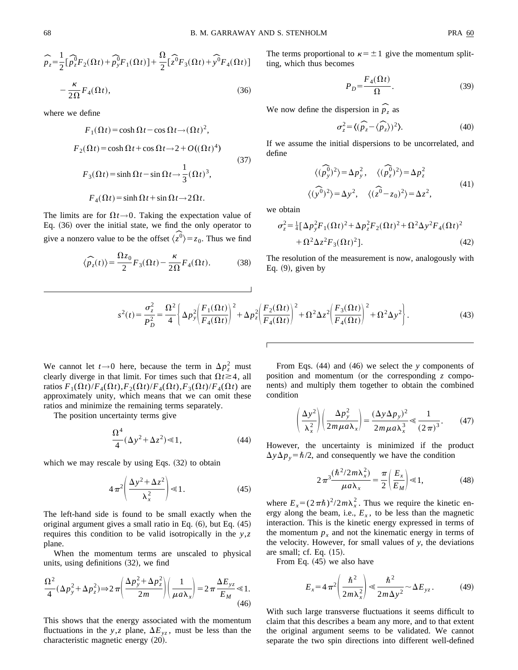$$
\widehat{p_z} = \frac{1}{2} \left[ \widehat{p_z^0} F_2(\Omega t) + \widehat{p_y^0} F_1(\Omega t) \right] + \frac{\Omega}{2} \left[ \widehat{z^0} F_3(\Omega t) + \widehat{y^0} F_4(\Omega t) \right]
$$

$$
- \frac{\kappa}{2\Omega} F_4(\Omega t), \tag{36}
$$

where we define

$$
F_1(\Omega t) = \cosh \Omega t - \cos \Omega t \rightarrow (\Omega t)^2,
$$
  
\n
$$
F_2(\Omega t) = \cosh \Omega t + \cos \Omega t \rightarrow 2 + O((\Omega t)^4)
$$
  
\n
$$
F_3(\Omega t) = \sinh \Omega t - \sin \Omega t \rightarrow \frac{1}{3} (\Omega t)^3,
$$
  
\n
$$
F_4(\Omega t) = \sinh \Omega t + \sin \Omega t \rightarrow 2\Omega t.
$$
\n(37)

The limits are for  $\Omega t \rightarrow 0$ . Taking the expectation value of Eq.  $(36)$  over the initial state, we find the only operator to give a nonzero value to be the offset  $\langle z^0 \rangle = z_0$ . Thus we find

$$
\langle \widehat{p_z}(t) \rangle = \frac{\Omega z_0}{2} F_3(\Omega t) - \frac{\kappa}{2\Omega} F_4(\Omega t). \tag{38}
$$

$$
P_D = \frac{F_4(\Omega t)}{\Omega}.
$$
\n(39)

We now define the dispersion in  $\widehat{p_z}$  as

$$
\sigma_z^2 = \langle (\widehat{p}_z - \langle \widehat{p}_z \rangle)^2 \rangle. \tag{40}
$$

If we assume the initial dispersions to be uncorrelated, and define

$$
\langle (\widehat{p_y^0})^2 \rangle = \Delta p_y^2, \quad \langle (\widehat{p_z^0})^2 \rangle = \Delta p_z^2
$$
  

$$
\langle (\widehat{y^0})^2 \rangle = \Delta y^2, \quad \langle (\widehat{z^0} - z_0)^2 \rangle = \Delta z^2,
$$
 (41)

we obtain

$$
\sigma_z^2 = \frac{1}{4} [\Delta p_y^2 F_1(\Omega t)^2 + \Delta p_z^2 F_2(\Omega t)^2 + \Omega^2 \Delta y^2 F_4(\Omega t)^2 + \Omega^2 \Delta z^2 F_3(\Omega t)^2].
$$
\n(42)

The resolution of the measurement is now, analogously with Eq.  $(9)$ , given by

$$
s^{2}(t) = \frac{\sigma_{z}^{2}}{P_{D}^{2}} = \frac{\Omega^{2}}{4} \left\{ \Delta p_{y}^{2} \left( \frac{F_{1}(\Omega t)}{F_{4}(\Omega t)} \right)^{2} + \Delta p_{z}^{2} \left( \frac{F_{2}(\Omega t)}{F_{4}(\Omega t)} \right)^{2} + \Omega^{2} \Delta z^{2} \left( \frac{F_{3}(\Omega t)}{F_{4}(\Omega t)} \right)^{2} + \Omega^{2} \Delta y^{2} \right\}.
$$
 (43)

We cannot let  $t \rightarrow 0$  here, because the term in  $\Delta p_z^2$  must clearly diverge in that limit. For times such that  $\Omega t \ge 4$ , all ratios  $F_1(\Omega t)/F_4(\Omega t)$ ,  $F_2(\Omega t)/F_4(\Omega t)$ ,  $F_3(\Omega t)/F_4(\Omega t)$  are approximately unity, which means that we can omit these ratios and minimize the remaining terms separately.

The position uncertainty terms give

$$
\frac{\Omega^4}{4}(\Delta y^2 + \Delta z^2) \ll 1,\tag{44}
$$

which we may rescale by using Eqs.  $(32)$  to obtain

$$
4\pi^2 \left( \frac{\Delta y^2 + \Delta z^2}{\lambda_x^2} \right) \ll 1. \tag{45}
$$

The left-hand side is found to be small exactly when the original argument gives a small ratio in Eq.  $(6)$ , but Eq.  $(45)$ requires this condition to be valid isotropically in the *y*,*z* plane.

When the momentum terms are unscaled to physical units, using definitions  $(32)$ , we find

$$
\frac{\Omega^2}{4}(\Delta p_y^2 + \Delta p_z^2) \Rightarrow 2\pi \left(\frac{\Delta p_y^2 + \Delta p_z^2}{2m}\right) \left(\frac{1}{\mu a \lambda_x}\right) = 2\pi \frac{\Delta E_{yz}}{E_M} \ll 1.
$$
\n(46)

This shows that the energy associated with the momentum fluctuations in the *y*,*z* plane,  $\Delta E_{yz}$ , must be less than the characteristic magnetic energy  $(20)$ .

From Eqs.  $(44)$  and  $(46)$  we select the *y* components of position and momentum (or the corresponding  $\zeta$  components) and multiply them together to obtain the combined condition

$$
\left(\frac{\Delta y^2}{\lambda_x^2}\right) \left(\frac{\Delta p_y^2}{2m\mu a\lambda_x}\right) = \frac{(\Delta y \Delta p_y)^2}{2m\mu a\lambda_x^3} \ll \frac{1}{(2\pi)^3}.
$$
 (47)

However, the uncertainty is minimized if the product  $\Delta y \Delta p_y = \hbar/2$ , and consequently we have the condition

$$
2\pi^3 \frac{(\hbar^2/2m\lambda_x^2)}{\mu a \lambda_x} = \frac{\pi}{2} \left(\frac{E_x}{E_M}\right) \ll 1,
$$
 (48)

where  $E_x = (2\pi\hbar)^2/2m\lambda_x^2$ . Thus we require the kinetic energy along the beam, i.e.,  $E_x$ , to be less than the magnetic interaction. This is the kinetic energy expressed in terms of the momentum  $p<sub>x</sub>$  and not the kinematic energy in terms of the velocity. However, for small values of *y*, the deviations are small; cf. Eq.  $(15)$ .

From Eq.  $(45)$  we also have

$$
E_x = 4\pi^2 \left(\frac{\hbar^2}{2m\lambda_x^2}\right) \ll \frac{\hbar^2}{2m\Delta y^2} \sim \Delta E_{yz} \,. \tag{49}
$$

With such large transverse fluctuations it seems difficult to claim that this describes a beam any more, and to that extent the original argument seems to be validated. We cannot separate the two spin directions into different well-defined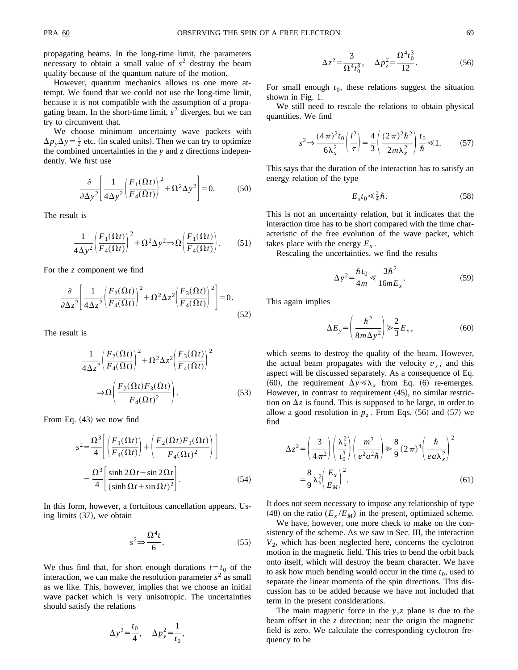propagating beams. In the long-time limit, the parameters necessary to obtain a small value of  $s^2$  destroy the beam quality because of the quantum nature of the motion.

However, quantum mechanics allows us one more attempt. We found that we could not use the long-time limit, because it is not compatible with the assumption of a propagating beam. In the short-time limit, *s* 2 diverges, but we can try to circumvent that.

We choose minimum uncertainty wave packets with  $\Delta p_y \Delta y = \frac{1}{2}$  etc. (in scaled units). Then we can try to optimize the combined uncertainties in the *y* and *z* directions independently. We first use

$$
\frac{\partial}{\partial \Delta y^2} \left[ \frac{1}{4 \Delta y^2} \left( \frac{F_1(\Omega t)}{F_4(\Omega t)} \right)^2 + \Omega^2 \Delta y^2 \right] = 0. \tag{50}
$$

The result is

$$
\frac{1}{4\Delta y^2} \left( \frac{F_1(\Omega t)}{F_4(\Omega t)} \right)^2 + \Omega^2 \Delta y^2 \Rightarrow \Omega \left( \frac{F_1(\Omega t)}{F_4(\Omega t)} \right). \tag{51}
$$

For the *z* component we find

$$
\frac{\partial}{\partial \Delta z^2} \left[ \frac{1}{4\Delta z^2} \left( \frac{F_2(\Omega t)}{F_4(\Omega t)} \right)^2 + \Omega^2 \Delta z^2 \left( \frac{F_3(\Omega t)}{F_4(\Omega t)} \right)^2 \right] = 0.
$$
\n(52)

The result is

$$
\frac{1}{4\Delta z^2} \left( \frac{F_2(\Omega t)}{F_4(\Omega t)} \right)^2 + \Omega^2 \Delta z^2 \left( \frac{F_3(\Omega t)}{F_4(\Omega t)} \right)^2
$$

$$
\Rightarrow \Omega \left( \frac{F_2(\Omega t) F_3(\Omega t)}{F_4(\Omega t)^2} \right). \tag{53}
$$

From Eq.  $(43)$  we now find

$$
s^{2} = \frac{\Omega^{3}}{4} \left[ \left( \frac{F_{1}(\Omega t)}{F_{4}(\Omega t)} \right) + \left( \frac{F_{2}(\Omega t) F_{3}(\Omega t)}{F_{4}(\Omega t)^{2}} \right) \right]
$$
  
= 
$$
\frac{\Omega^{3}}{4} \left[ \frac{\sinh 2\Omega t - \sin 2\Omega t}{(\sinh \Omega t + \sin \Omega t)^{2}} \right].
$$
 (54)

In this form, however, a fortuitous cancellation appears. Using limits  $(37)$ , we obtain

$$
s^2 \Rightarrow \frac{\Omega^4 t}{6}.\tag{55}
$$

We thus find that, for short enough durations  $t = t_0$  of the interaction, we can make the resolution parameter  $s^2$  as small as we like. This, however, implies that we choose an initial wave packet which is very unisotropic. The uncertainties should satisfy the relations

$$
\Delta y^2 = \frac{t_0}{4}, \quad \Delta p_y^2 = \frac{1}{t_0},
$$

$$
\Delta z^2 = \frac{3}{\Omega^4 t_0^3}, \quad \Delta p_z^2 = \frac{\Omega^4 t_0^3}{12}.
$$
 (56)

For small enough  $t_0$ , these relations suggest the situation shown in Fig. 1.

We still need to rescale the relations to obtain physical quantities. We find

$$
s^2 \Rightarrow \frac{(4\pi)^2 t_0}{6\lambda_x^2} \left(\frac{l^2}{\tau}\right) = \frac{4}{3} \left(\frac{(2\pi)^2 \hbar^2}{2m\lambda_x^2}\right) \frac{t_0}{\hbar} \ll 1. \tag{57}
$$

This says that the duration of the interaction has to satisfy an energy relation of the type

$$
E_x t_0 \ll \frac{3}{4} \hbar. \tag{58}
$$

This is not an uncertainty relation, but it indicates that the interaction time has to be short compared with the time characteristic of the free evolution of the wave packet, which takes place with the energy  $E_x$ .

Rescaling the uncertainties, we find the results

$$
\Delta y^2 = \frac{\hbar t_0}{4m} \ll \frac{3\hbar^2}{16mE_x}.
$$
 (59)

This again implies

$$
\Delta E_y = \left(\frac{\hbar^2}{8m\Delta y^2}\right) \gg \frac{2}{3} E_x, \tag{60}
$$

which seems to destroy the quality of the beam. However, the actual beam propagates with the velocity  $v_x$ , and this aspect will be discussed separately. As a consequence of Eq. (60), the requirement  $\Delta y \ll \lambda_x$  from Eq. (6) re-emerges. However, in contrast to requirement  $(45)$ , no similar restriction on  $\Delta z$  is found. This is supposed to be large, in order to allow a good resolution in  $p_z$ . From Eqs.  $(56)$  and  $(57)$  we find

$$
\Delta z^2 = \left(\frac{3}{4\pi^2}\right) \left(\frac{\lambda_x^2}{t_0^3}\right) \left(\frac{m^3}{e^2 a^2 \hbar}\right) \gg \frac{8}{9} (2\pi)^4 \left(\frac{\hbar}{ea\lambda_x^2}\right)^2
$$

$$
= \frac{8}{9} \lambda_x^2 \left(\frac{E_x}{E_M}\right)^2.
$$
(61)

It does not seem necessary to impose any relationship of type (48) on the ratio  $(E_x/E_M)$  in the present, optimized scheme.

We have, however, one more check to make on the consistency of the scheme. As we saw in Sec. III, the interaction  $V_2$ , which has been neglected here, concerns the cyclotron motion in the magnetic field. This tries to bend the orbit back onto itself, which will destroy the beam character. We have to ask how much bending would occur in the time  $t_0$ , used to separate the linear momenta of the spin directions. This discussion has to be added because we have not included that term in the present considerations.

The main magnetic force in the *y*,*z* plane is due to the beam offset in the *z* direction; near the origin the magnetic field is zero. We calculate the corresponding cyclotron frequency to be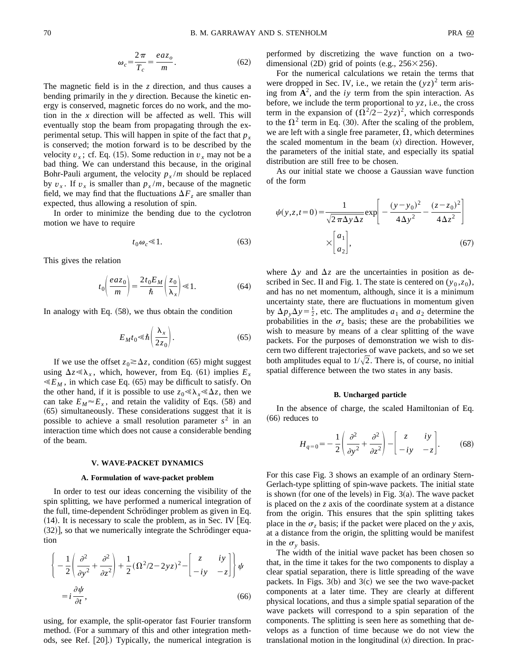$$
\omega_c = \frac{2\pi}{T_c} = \frac{ea z_o}{m}.
$$
\n(62)

The magnetic field is in the *z* direction, and thus causes a bending primarily in the *y* direction. Because the kinetic energy is conserved, magnetic forces do no work, and the motion in the *x* direction will be affected as well. This will eventually stop the beam from propagating through the experimental setup. This will happen in spite of the fact that *p<sup>x</sup>* is conserved; the motion forward is to be described by the velocity  $v_x$ ; cf. Eq. (15). Some reduction in  $v_x$  may not be a bad thing. We can understand this because, in the original Bohr-Pauli argument, the velocity  $p_x/m$  should be replaced by  $v_x$ . If  $v_x$  is smaller than  $p_x/m$ , because of the magnetic field, we may find that the fluctuations  $\Delta F$ <sub>*z*</sub> are smaller than expected, thus allowing a resolution of spin.

In order to minimize the bending due to the cyclotron motion we have to require

$$
t_0 \omega_c \ll 1. \tag{63}
$$

This gives the relation

$$
t_0 \left( \frac{eaz_0}{m} \right) = \frac{2t_0 E_M}{\hbar} \left( \frac{z_0}{\lambda_x} \right) \ll 1. \tag{64}
$$

In analogy with Eq.  $(58)$ , we thus obtain the condition

$$
E_M t_0 \ll \hbar \left( \frac{\lambda_x}{2z_0} \right). \tag{65}
$$

If we use the offset  $z_0 \ge \Delta z$ , condition (65) might suggest using  $\Delta z \ll \lambda_x$ , which, however, from Eq. (61) implies  $E_x$  $\ll E_M$ , in which case Eq. (65) may be difficult to satisfy. On the other hand, if it is possible to use  $z_0 \ll \lambda_x \ll \Delta z$ , then we can take  $E_M \approx E_x$ , and retain the validity of Eqs. (58) and  $(65)$  simultaneously. These considerations suggest that it is possible to achieve a small resolution parameter  $s^2$  in an interaction time which does not cause a considerable bending of the beam.

#### **V. WAVE-PACKET DYNAMICS**

#### **A. Formulation of wave-packet problem**

In order to test our ideas concerning the visibility of the spin splitting, we have performed a numerical integration of the full, time-dependent Schrödinger problem as given in Eq.  $(14)$ . It is necessary to scale the problem, as in Sec. IV [Eq.  $(32)$ ], so that we numerically integrate the Schrödinger equation

$$
\left\{-\frac{1}{2}\left(\frac{\partial^2}{\partial y^2} + \frac{\partial^2}{\partial z^2}\right) + \frac{1}{2}(\Omega^2/2 - 2yz)^2 - \begin{bmatrix} z & iy \\ -iy & -z \end{bmatrix}\right\}\psi
$$
  
=  $i\frac{\partial\psi}{\partial t}$ , (66)

using, for example, the split-operator fast Fourier transform method. (For a summary of this and other integration methods, see Ref.  $[20]$ .) Typically, the numerical integration is performed by discretizing the wave function on a twodimensional  $(2D)$  grid of points  $(e.g., 256\times256)$ .

For the numerical calculations we retain the terms that were dropped in Sec. IV, i.e., we retain the  $(yz)^2$  term arising from  $\mathbf{A}^2$ , and the *iy* term from the spin interaction. As before, we include the term proportional to *yz*, i.e., the cross term in the expansion of  $(\Omega^2/2 - 2yz)^2$ , which corresponds to the  $\Omega^2$  term in Eq. (30). After the scaling of the problem, we are left with a single free parameter,  $\Omega$ , which determines the scaled momentum in the beam  $(x)$  direction. However, the parameters of the initial state, and especially its spatial distribution are still free to be chosen.

As our initial state we choose a Gaussian wave function of the form

$$
\psi(y, z, t=0) = \frac{1}{\sqrt{2 \pi \Delta y \Delta z}} \exp\left[-\frac{(y - y_0)^2}{4 \Delta y^2} - \frac{(z - z_0)^2}{4 \Delta z^2}\right] \times \begin{bmatrix} a_1 \\ a_2 \end{bmatrix},
$$
\n(67)

where  $\Delta y$  and  $\Delta z$  are the uncertainties in position as described in Sec. II and Fig. 1. The state is centered on  $(y_0, z_0)$ , and has no net momentum, although, since it is a minimum uncertainty state, there are fluctuations in momentum given by  $\Delta p_y \Delta y = \frac{1}{2}$ , etc. The amplitudes  $a_1$  and  $a_2$  determine the probabilities in the  $\sigma_z$  basis; these are the probabilities we wish to measure by means of a clear splitting of the wave packets. For the purposes of demonstration we wish to discern two different trajectories of wave packets, and so we set both amplitudes equal to  $1/\sqrt{2}$ . There is, of course, no initial spatial difference between the two states in any basis.

#### **B. Uncharged particle**

In the absence of charge, the scaled Hamiltonian of Eq.  $(66)$  reduces to

$$
H_{q=0} = -\frac{1}{2} \left( \frac{\partial^2}{\partial y^2} + \frac{\partial^2}{\partial z^2} \right) - \begin{bmatrix} z & iy \\ -iy & -z \end{bmatrix}.
$$
 (68)

For this case Fig. 3 shows an example of an ordinary Stern-Gerlach-type splitting of spin-wave packets. The initial state is shown (for one of the levels) in Fig.  $3(a)$ . The wave packet is placed on the *z* axis of the coordinate system at a distance from the origin. This ensures that the spin splitting takes place in the  $\sigma$ <sub>z</sub> basis; if the packet were placed on the *y* axis, at a distance from the origin, the splitting would be manifest in the  $\sigma$ <sub>*y*</sub> basis.

The width of the initial wave packet has been chosen so that, in the time it takes for the two components to display a clear spatial separation, there is little spreading of the wave packets. In Figs.  $3(b)$  and  $3(c)$  we see the two wave-packet components at a later time. They are clearly at different physical locations, and thus a simple spatial separation of the wave packets will correspond to a spin separation of the components. The splitting is seen here as something that develops as a function of time because we do not view the translational motion in the longitudinal  $(x)$  direction. In prac-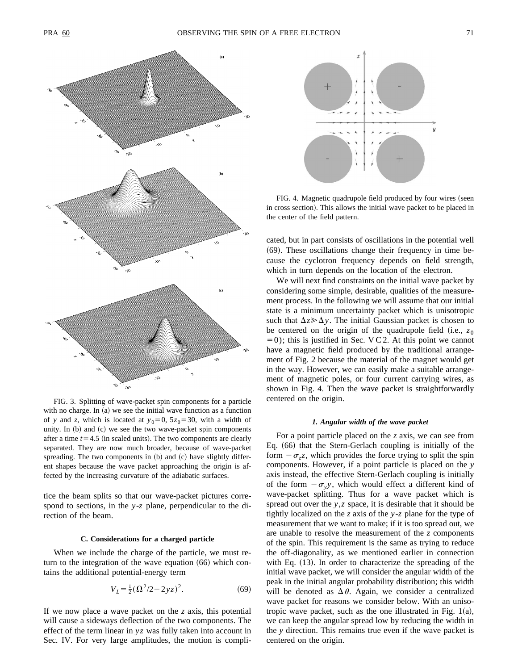

FIG. 3. Splitting of wave-packet spin components for a particle with no charge. In  $(a)$  we see the initial wave function as a function of *y* and *z*, which is located at  $y_0 = 0$ ,  $5z_0 = 30$ , with a width of unity. In  $(b)$  and  $(c)$  we see the two wave-packet spin components after a time  $t=4.5$  (in scaled units). The two components are clearly separated. They are now much broader, because of wave-packet spreading. The two components in  $(b)$  and  $(c)$  have slightly different shapes because the wave packet approaching the origin is affected by the increasing curvature of the adiabatic surfaces.

tice the beam splits so that our wave-packet pictures correspond to sections, in the *y*-*z* plane, perpendicular to the direction of the beam.

#### **C. Considerations for a charged particle**

When we include the charge of the particle, we must return to the integration of the wave equation  $(66)$  which contains the additional potential-energy term

$$
V_L = \frac{1}{2} (\Omega^2 / 2 - 2yz)^2.
$$
 (69)

If we now place a wave packet on the *z* axis, this potential will cause a sideways deflection of the two components. The effect of the term linear in *yz* was fully taken into account in Sec. IV. For very large amplitudes, the motion is compli-



FIG. 4. Magnetic quadrupole field produced by four wires (seen in cross section). This allows the initial wave packet to be placed in the center of the field pattern.

cated, but in part consists of oscillations in the potential well  $(69)$ . These oscillations change their frequency in time because the cyclotron frequency depends on field strength, which in turn depends on the location of the electron.

We will next find constraints on the initial wave packet by considering some simple, desirable, qualities of the measurement process. In the following we will assume that our initial state is a minimum uncertainty packet which is unisotropic such that  $\Delta z \ge \Delta y$ . The initial Gaussian packet is chosen to be centered on the origin of the quadrupole field (i.e.,  $z_0$ )  $(50)$ ; this is justified in Sec. V C 2. At this point we cannot have a magnetic field produced by the traditional arrangement of Fig. 2 because the material of the magnet would get in the way. However, we can easily make a suitable arrangement of magnetic poles, or four current carrying wires, as shown in Fig. 4. Then the wave packet is straightforwardly centered on the origin.

#### *1. Angular width of the wave packet*

For a point particle placed on the *z* axis, we can see from Eq. (66) that the Stern-Gerlach coupling is initially of the form  $-\sigma_z z$ , which provides the force trying to split the spin components. However, if a point particle is placed on the *y* axis instead, the effective Stern-Gerlach coupling is initially of the form  $-\sigma_y y$ , which would effect a different kind of wave-packet splitting. Thus for a wave packet which is spread out over the *y*,*z* space, it is desirable that it should be tightly localized on the *z* axis of the *y*-*z* plane for the type of measurement that we want to make; if it is too spread out, we are unable to resolve the measurement of the *z* components of the spin. This requirement is the same as trying to reduce the off-diagonality, as we mentioned earlier in connection with Eq.  $(13)$ . In order to characterize the spreading of the initial wave packet, we will consider the angular width of the peak in the initial angular probability distribution; this width will be denoted as  $\Delta \theta$ . Again, we consider a centralized wave packet for reasons we consider below. With an unisotropic wave packet, such as the one illustrated in Fig.  $1(a)$ , we can keep the angular spread low by reducing the width in the *y* direction. This remains true even if the wave packet is centered on the origin.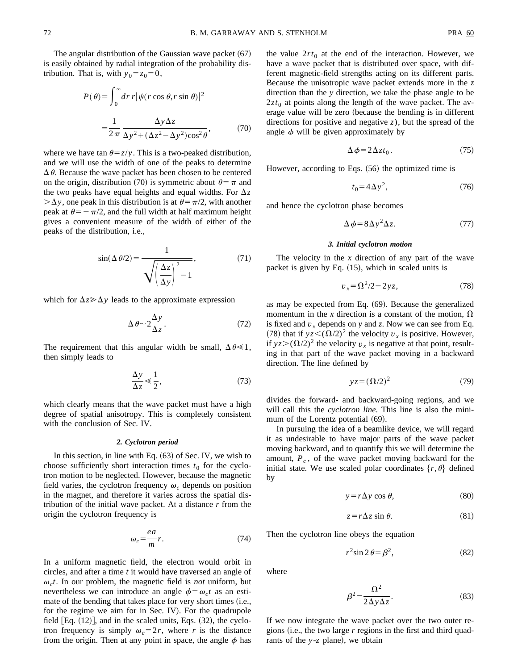$$
P(\theta) = \int_0^\infty dr \, r |\psi(r \cos \theta, r \sin \theta)|^2
$$

$$
= \frac{1}{2\pi} \frac{\Delta y \Delta z}{\Delta y^2 + (\Delta z^2 - \Delta y^2) \cos^2 \theta}, \tag{70}
$$

where we have tan  $\theta = z/y$ . This is a two-peaked distribution, and we will use the width of one of the peaks to determine  $\Delta \theta$ . Because the wave packet has been chosen to be centered on the origin, distribution (70) is symmetric about  $\theta = \pi$  and the two peaks have equal heights and equal widths. For  $\Delta z$  $\geq$   $\Delta$ y, one peak in this distribution is at  $\theta = \pi/2$ , with another peak at  $\theta = -\pi/2$ , and the full width at half maximum height gives a convenient measure of the width of either of the peaks of the distribution, i.e.,

$$
\sin(\Delta \theta/2) = \frac{1}{\sqrt{\left(\frac{\Delta z}{\Delta y}\right)^2 - 1}},\tag{71}
$$

which for  $\Delta z \ge \Delta y$  leads to the approximate expression

$$
\Delta \theta \sim 2 \frac{\Delta y}{\Delta z}.\tag{72}
$$

The requirement that this angular width be small,  $\Delta \theta \ll 1$ , then simply leads to

$$
\frac{\Delta y}{\Delta z} \ll \frac{1}{2},\tag{73}
$$

which clearly means that the wave packet must have a high degree of spatial anisotropy. This is completely consistent with the conclusion of Sec. IV.

#### *2. Cyclotron period*

In this section, in line with Eq.  $(63)$  of Sec. IV, we wish to choose sufficiently short interaction times  $t_0$  for the cyclotron motion to be neglected. However, because the magnetic field varies, the cyclotron frequency  $\omega_c$  depends on position in the magnet, and therefore it varies across the spatial distribution of the initial wave packet. At a distance *r* from the origin the cyclotron frequency is

$$
\omega_c = \frac{ea}{m}r.\tag{74}
$$

In a uniform magnetic field, the electron would orbit in circles, and after a time *t* it would have traversed an angle of  $\omega_c t$ . In our problem, the magnetic field is *not* uniform, but nevertheless we can introduce an angle  $\phi = \omega_c t$  as an estimate of the bending that takes place for very short times (i.e., for the regime we aim for in Sec. IV). For the quadrupole field  $Eq. (12)$ , and in the scaled units, Eqs.  $(32)$ , the cyclotron frequency is simply  $\omega_c = 2r$ , where *r* is the distance from the origin. Then at any point in space, the angle  $\phi$  has the value  $2rt_0$  at the end of the interaction. However, we have a wave packet that is distributed over space, with different magnetic-field strengths acting on its different parts. Because the unisotropic wave packet extends more in the *z* direction than the *y* direction, we take the phase angle to be  $2zt_0$  at points along the length of the wave packet. The average value will be zero (because the bending is in different directions for positive and negative *z*), but the spread of the angle  $\phi$  will be given approximately by

$$
\Delta \phi = 2\Delta z t_0. \tag{75}
$$

However, according to Eqs.  $(56)$  the optimized time is

$$
t_0 = 4\Delta y^2,\t(76)
$$

and hence the cyclotron phase becomes

$$
\Delta \phi = 8\Delta y^2 \Delta z. \tag{77}
$$

#### *3. Initial cyclotron motion*

The velocity in the *x* direction of any part of the wave packet is given by Eq.  $(15)$ , which in scaled units is

$$
v_x = \Omega^2/2 - 2yz,\tag{78}
$$

as may be expected from Eq.  $(69)$ . Because the generalized momentum in the *x* direction is a constant of the motion,  $\Omega$ is fixed and  $v_x$  depends on *y* and *z*. Now we can see from Eq. (78) that if  $yz < (\Omega/2)^2$  the velocity  $v_x$  is positive. However, if  $yz > (\Omega/2)^2$  the velocity  $v_x$  is negative at that point, resulting in that part of the wave packet moving in a backward direction. The line defined by

$$
yz = (\Omega/2)^2 \tag{79}
$$

divides the forward- and backward-going regions, and we will call this the *cyclotron line*. This line is also the minimum of the Lorentz potential  $(69)$ .

In pursuing the idea of a beamlike device, we will regard it as undesirable to have major parts of the wave packet moving backward, and to quantify this we will determine the amount, *P<sup>c</sup>* , of the wave packet moving backward for the initial state. We use scaled polar coordinates  $\{r,\theta\}$  defined by

$$
y = r\Delta y \cos \theta, \tag{80}
$$

$$
z = r\Delta z \sin \theta. \tag{81}
$$

Then the cyclotron line obeys the equation

$$
r^2 \sin 2\theta = \beta^2,\tag{82}
$$

where

$$
\beta^2 = \frac{\Omega^2}{2\Delta y \Delta z}.
$$
 (83)

If we now integrate the wave packet over the two outer regions (i.e., the two large *r* regions in the first and third quadrants of the  $y-z$  plane), we obtain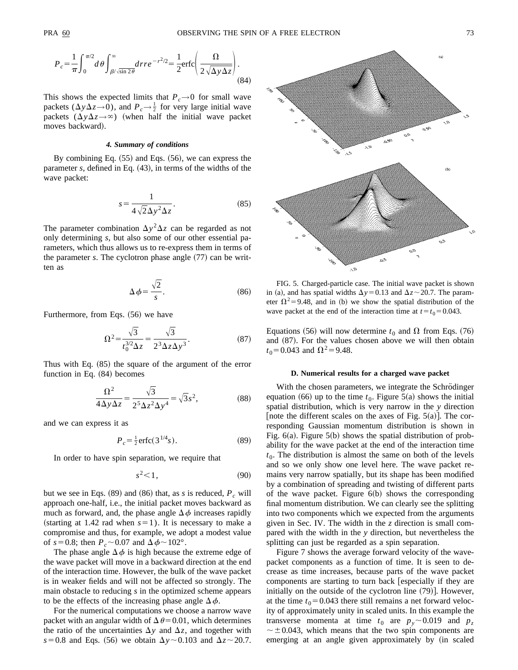$$
P_c = \frac{1}{\pi} \int_0^{\pi/2} d\theta \int_{\beta/\sqrt{\sin 2\theta}}^{\infty} dr r e^{-r^2/2} = \frac{1}{2} \text{erfc} \left( \frac{\Omega}{2\sqrt{\Delta y \Delta z}} \right). \tag{84}
$$

This shows the expected limits that  $P_c \rightarrow 0$  for small wave packets  $(\Delta y \Delta z \rightarrow 0)$ , and  $P_c \rightarrow \frac{1}{2}$  for very large initial wave packets  $(\Delta y \Delta z \rightarrow \infty)$  (when half the initial wave packet moves backward).

#### *4. Summary of conditions*

By combining Eq.  $(55)$  and Eqs.  $(56)$ , we can express the parameter  $s$ , defined in Eq.  $(43)$ , in terms of the widths of the wave packet:

$$
s = \frac{1}{4\sqrt{2}\Delta y^2 \Delta z}.
$$
 (85)

The parameter combination  $\Delta y^2 \Delta z$  can be regarded as not only determining *s*, but also some of our other essential parameters, which thus allows us to re-express them in terms of the parameter  $s$ . The cyclotron phase angle  $(77)$  can be written as

$$
\Delta \phi = \frac{\sqrt{2}}{s}.
$$
 (86)

Furthermore, from Eqs.  $(56)$  we have

$$
\Omega^2 = \frac{\sqrt{3}}{t_0^{3/2} \Delta z} = \frac{\sqrt{3}}{2^3 \Delta z \Delta y^3}.
$$
 (87)

Thus with Eq.  $(85)$  the square of the argument of the error function in Eq.  $(84)$  becomes

$$
\frac{\Omega^2}{4\Delta y \Delta z} = \frac{\sqrt{3}}{2^5 \Delta z^2 \Delta y^4} = \sqrt{3} s^2,
$$
 (88)

and we can express it as

$$
P_c = \frac{1}{2} \text{erfc}(3^{1/4}s). \tag{89}
$$

In order to have spin separation, we require that

$$
s^2 < 1,\tag{90}
$$

but we see in Eqs.  $(89)$  and  $(86)$  that, as *s* is reduced,  $P_c$  will approach one-half, i.e., the initial packet moves backward as much as forward, and, the phase angle  $\Delta \phi$  increases rapidly (starting at 1.42 rad when  $s=1$ ). It is necessary to make a compromise and thus, for example, we adopt a modest value of  $s=0.8$ ; then  $P_c \sim 0.07$  and  $\Delta \phi \sim 102^\circ$ .

The phase angle  $\Delta \phi$  is high because the extreme edge of the wave packet will move in a backward direction at the end of the interaction time. However, the bulk of the wave packet is in weaker fields and will not be affected so strongly. The main obstacle to reducing *s* in the optimized scheme appears to be the effects of the increasing phase angle  $\Delta \phi$ .

For the numerical computations we choose a narrow wave packet with an angular width of  $\Delta \theta$ =0.01, which determines the ratio of the uncertainties  $\Delta y$  and  $\Delta z$ , and together with  $s=0.8$  and Eqs. (56) we obtain  $\Delta y \sim 0.103$  and  $\Delta z \sim 20.7$ .



FIG. 5. Charged-particle case. The initial wave packet is shown in (a), and has spatial widths  $\Delta y = 0.13$  and  $\Delta z \sim 20.7$ . The parameter  $\Omega^2$  = 9.48, and in (b) we show the spatial distribution of the wave packet at the end of the interaction time at  $t = t_0 = 0.043$ .

Equations (56) will now determine  $t_0$  and  $\Omega$  from Eqs. (76) and  $(87)$ . For the values chosen above we will then obtain  $t_0$ =0.043 and  $\Omega^2$ =9.48.

#### **D. Numerical results for a charged wave packet**

With the chosen parameters, we integrate the Schrödinger equation  $(66)$  up to the time  $t<sub>0</sub>$ . Figure 5 $(a)$  shows the initial spatial distribution, which is very narrow in the *y* direction [note the different scales on the axes of Fig.  $5(a)$ ]. The corresponding Gaussian momentum distribution is shown in Fig.  $6(a)$ . Figure 5(b) shows the spatial distribution of probability for the wave packet at the end of the interaction time  $t<sub>0</sub>$ . The distribution is almost the same on both of the levels and so we only show one level here. The wave packet remains very narrow spatially, but its shape has been modified by a combination of spreading and twisting of different parts of the wave packet. Figure  $6(b)$  shows the corresponding final momentum distribution. We can clearly see the splitting into two components which we expected from the arguments given in Sec. IV. The width in the *z* direction is small compared with the width in the *y* direction, but nevertheless the splitting can just be regarded as a spin separation.

Figure 7 shows the average forward velocity of the wavepacket components as a function of time. It is seen to decrease as time increases, because parts of the wave packet components are starting to turn back [especially if they are initially on the outside of the cyclotron line  $(79)$ . However, at the time  $t_0$ =0.043 there still remains a net forward velocity of approximately unity in scaled units. In this example the transverse momenta at time  $t_0$  are  $p_y \sim 0.019$  and  $p_z$  $\sim \pm 0.043$ , which means that the two spin components are emerging at an angle given approximately by (in scaled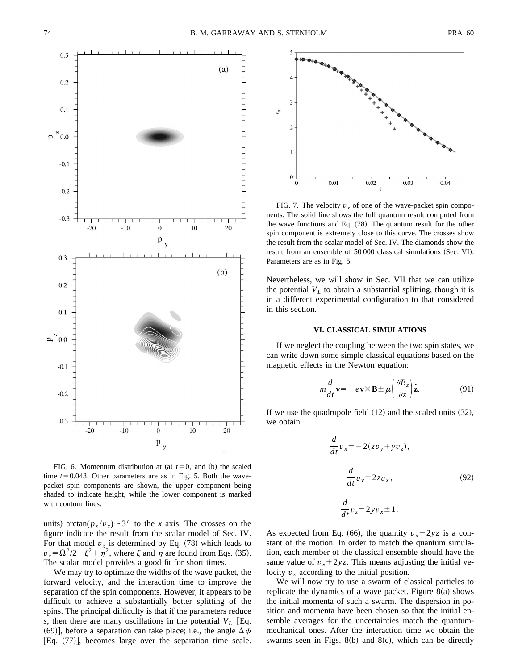

FIG. 6. Momentum distribution at (a)  $t=0$ , and (b) the scaled time  $t=0.043$ . Other parameters are as in Fig. 5. Both the wavepacket spin components are shown, the upper component being shaded to indicate height, while the lower component is marked with contour lines.

units) arctan( $p_z/v_x$ ) ~ 3° to the *x* axis. The crosses on the figure indicate the result from the scalar model of Sec. IV. For that model  $v_x$  is determined by Eq. (78) which leads to  $v_x = \Omega^2/2 - \xi^2 + \eta^2$ , where  $\xi$  and  $\eta$  are found from Eqs. (35). The scalar model provides a good fit for short times.

We may try to optimize the widths of the wave packet, the forward velocity, and the interaction time to improve the separation of the spin components. However, it appears to be difficult to achieve a substantially better splitting of the spins. The principal difficulty is that if the parameters reduce *s*, then there are many oscillations in the potential  $V_L$  [Eq. (69)], before a separation can take place; i.e., the angle  $\Delta \phi$ [Eq.  $(77)$ ], becomes large over the separation time scale.



FIG. 7. The velocity  $v_x$  of one of the wave-packet spin components. The solid line shows the full quantum result computed from the wave functions and Eq.  $(78)$ . The quantum result for the other spin component is extremely close to this curve. The crosses show the result from the scalar model of Sec. IV. The diamonds show the result from an ensemble of 50 000 classical simulations (Sec. VI). Parameters are as in Fig. 5.

Nevertheless, we will show in Sec. VII that we can utilize the potential  $V_L$  to obtain a substantial splitting, though it is in a different experimental configuration to that considered in this section.

#### **VI. CLASSICAL SIMULATIONS**

If we neglect the coupling between the two spin states, we can write down some simple classical equations based on the magnetic effects in the Newton equation:

$$
m\frac{d}{dt}\mathbf{v} = -e\mathbf{v} \times \mathbf{B} \pm \mu \left(\frac{\partial B_z}{\partial z}\right)\hat{\mathbf{z}}.\tag{91}
$$

If we use the quadrupole field  $(12)$  and the scaled units  $(32)$ , we obtain

$$
\frac{d}{dt}v_x = -2(zv_y + yv_z),
$$
  

$$
\frac{d}{dt}v_y = 2zv_x,
$$
 (92)  

$$
\frac{d}{dt}v_z = 2yv_x \pm 1.
$$

As expected from Eq. (66), the quantity  $v_x + 2yz$  is a constant of the motion. In order to match the quantum simulation, each member of the classical ensemble should have the same value of  $v_x + 2yz$ . This means adjusting the initial velocity  $v_x$  according to the initial position.

We will now try to use a swarm of classical particles to replicate the dynamics of a wave packet. Figure  $8(a)$  shows the initial momenta of such a swarm. The dispersion in position and momenta have been chosen so that the initial ensemble averages for the uncertainties match the quantummechanical ones. After the interaction time we obtain the swarms seen in Figs.  $8(b)$  and  $8(c)$ , which can be directly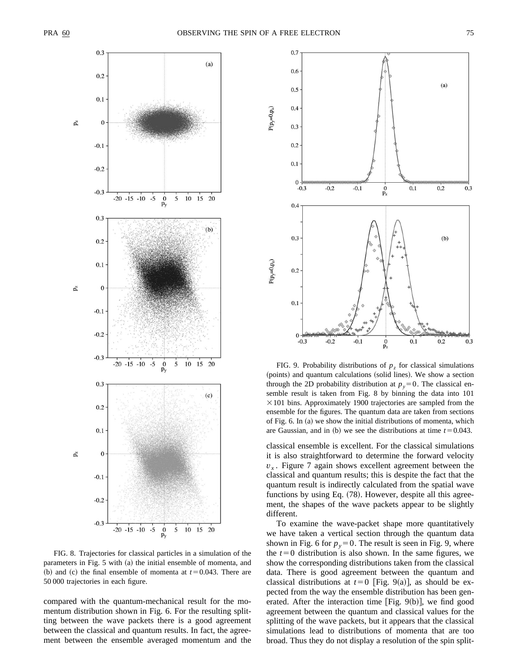

FIG. 8. Trajectories for classical particles in a simulation of the parameters in Fig. 5 with (a) the initial ensemble of momenta, and (b) and (c) the final ensemble of momenta at  $t=0.043$ . There are 50 000 trajectories in each figure.

compared with the quantum-mechanical result for the momentum distribution shown in Fig. 6. For the resulting splitting between the wave packets there is a good agreement between the classical and quantum results. In fact, the agreement between the ensemble averaged momentum and the



FIG. 9. Probability distributions of  $p<sub>z</sub>$  for classical simulations (points) and quantum calculations (solid lines). We show a section through the 2D probability distribution at  $p_y=0$ . The classical ensemble result is taken from Fig. 8 by binning the data into 101  $\times$ 101 bins. Approximately 1900 trajectories are sampled from the ensemble for the figures. The quantum data are taken from sections of Fig.  $6.$  In  $(a)$  we show the initial distributions of momenta, which are Gaussian, and in (b) we see the distributions at time  $t=0.043$ .

classical ensemble is excellent. For the classical simulations it is also straightforward to determine the forward velocity  $v<sub>x</sub>$ . Figure 7 again shows excellent agreement between the classical and quantum results; this is despite the fact that the quantum result is indirectly calculated from the spatial wave functions by using Eq.  $(78)$ . However, despite all this agreement, the shapes of the wave packets appear to be slightly different.

To examine the wave-packet shape more quantitatively we have taken a vertical section through the quantum data shown in Fig. 6 for  $p_y = 0$ . The result is seen in Fig. 9, where the  $t=0$  distribution is also shown. In the same figures, we show the corresponding distributions taken from the classical data. There is good agreement between the quantum and classical distributions at  $t=0$  [Fig. 9(a)], as should be expected from the way the ensemble distribution has been generated. After the interaction time  $[Fig. 9(b)],$  we find good agreement between the quantum and classical values for the splitting of the wave packets, but it appears that the classical simulations lead to distributions of momenta that are too broad. Thus they do not display a resolution of the spin split-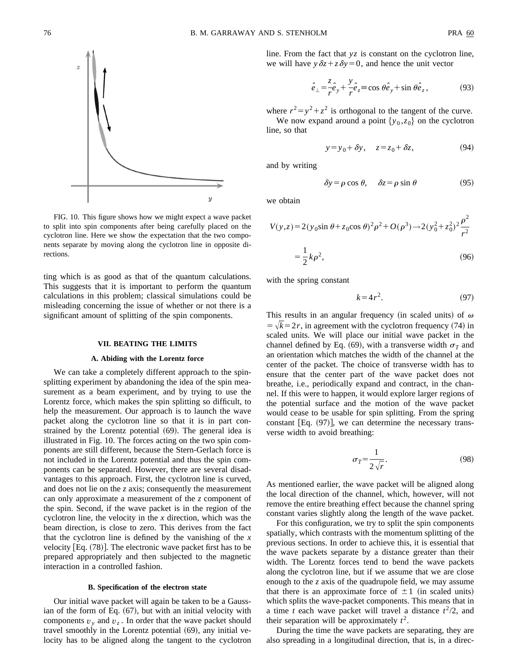

FIG. 10. This figure shows how we might expect a wave packet to split into spin components after being carefully placed on the cyclotron line. Here we show the expectation that the two components separate by moving along the cyclotron line in opposite directions.

ting which is as good as that of the quantum calculations. This suggests that it is important to perform the quantum calculations in this problem; classical simulations could be misleading concerning the issue of whether or not there is a significant amount of splitting of the spin components.

#### **VII. BEATING THE LIMITS**

#### **A. Abiding with the Lorentz force**

We can take a completely different approach to the spinsplitting experiment by abandoning the idea of the spin measurement as a beam experiment, and by trying to use the Lorentz force, which makes the spin splitting so difficult, to help the measurement. Our approach is to launch the wave packet along the cyclotron line so that it is in part constrained by the Lorentz potential  $(69)$ . The general idea is illustrated in Fig. 10. The forces acting on the two spin components are still different, because the Stern-Gerlach force is not included in the Lorentz potential and thus the spin components can be separated. However, there are several disadvantages to this approach. First, the cyclotron line is curved, and does not lie on the *z* axis; consequently the measurement can only approximate a measurement of the *z* component of the spin. Second, if the wave packet is in the region of the cyclotron line, the velocity in the *x* direction, which was the beam direction, is close to zero. This derives from the fact that the cyclotron line is defined by the vanishing of the *x* velocity  $\mathbb{E}_{q}$ . (78). The electronic wave packet first has to be prepared appropriately and then subjected to the magnetic interaction in a controlled fashion.

#### **B. Specification of the electron state**

Our initial wave packet will again be taken to be a Gaussian of the form of Eq.  $(67)$ , but with an initial velocity with components  $v_y$  and  $v_z$ . In order that the wave packet should travel smoothly in the Lorentz potential  $(69)$ , any initial velocity has to be aligned along the tangent to the cyclotron line. From the fact that *yz* is constant on the cyclotron line, we will have  $y \delta z + z \delta y = 0$ , and hence the unit vector

$$
\hat{e}_{\perp} = \frac{z}{r} \hat{e}_y + \frac{y}{r} \hat{e}_z \equiv \cos \theta \hat{e}_y + \sin \theta \hat{e}_z, \qquad (93)
$$

where  $r^2 = y^2 + z^2$  is orthogonal to the tangent of the curve.

We now expand around a point  $\{y_0, z_0\}$  on the cyclotron line, so that

$$
y = y_0 + \delta y, \quad z = z_0 + \delta z,\tag{94}
$$

and by writing

$$
\delta y = \rho \cos \theta, \quad \delta z = \rho \sin \theta \tag{95}
$$

we obtain

$$
V(y,z) = 2(y_0 \sin \theta + z_0 \cos \theta)^2 \rho^2 + O(\rho^3) \to 2(y_0^2 + z_0^2)^2 \frac{\rho^2}{r^2}
$$
  
=  $\frac{1}{2}k\rho^2$ , (96)

with the spring constant

$$
k=4r^2.\tag{97}
$$

This results in an angular frequency (in scaled units) of  $\omega$  $=\sqrt{k}=2r$ , in agreement with the cyclotron frequency (74) in scaled units. We will place our initial wave packet in the channel defined by Eq.  $(69)$ , with a transverse width  $\sigma<sub>T</sub>$  and an orientation which matches the width of the channel at the center of the packet. The choice of transverse width has to ensure that the center part of the wave packet does not breathe, i.e., periodically expand and contract, in the channel. If this were to happen, it would explore larger regions of the potential surface and the motion of the wave packet would cease to be usable for spin splitting. From the spring constant [Eq.  $(97)$ ], we can determine the necessary transverse width to avoid breathing:

$$
\sigma_T = \frac{1}{2\sqrt{r}}.\tag{98}
$$

As mentioned earlier, the wave packet will be aligned along the local direction of the channel, which, however, will not remove the entire breathing effect because the channel spring constant varies slightly along the length of the wave packet.

For this configuration, we try to split the spin components spatially, which contrasts with the momentum splitting of the previous sections. In order to achieve this, it is essential that the wave packets separate by a distance greater than their width. The Lorentz forces tend to bend the wave packets along the cyclotron line, but if we assume that we are close enough to the *z* axis of the quadrupole field, we may assume that there is an approximate force of  $\pm 1$  (in scaled units) which splits the wave-packet components. This means that in a time *t* each wave packet will travel a distance  $t^2/2$ , and their separation will be approximately  $t^2$ .

During the time the wave packets are separating, they are also spreading in a longitudinal direction, that is, in a direc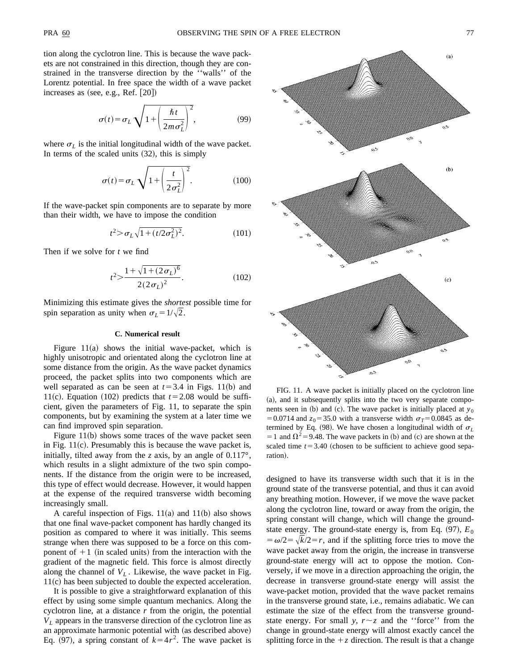tion along the cyclotron line. This is because the wave packets are not constrained in this direction, though they are constrained in the transverse direction by the ''walls'' of the Lorentz potential. In free space the width of a wave packet increases as  $(see, e.g., Ref. [20])$ 

$$
\sigma(t) = \sigma_L \sqrt{1 + \left(\frac{\hbar t}{2m\sigma_L^2}\right)^2},\tag{99}
$$

where  $\sigma_L$  is the initial longitudinal width of the wave packet. In terms of the scaled units  $(32)$ , this is simply

$$
\sigma(t) = \sigma_L \sqrt{1 + \left(\frac{t}{2\sigma_L^2}\right)^2}.
$$
\n(100)

If the wave-packet spin components are to separate by more than their width, we have to impose the condition

$$
t^2 > \sigma_L \sqrt{1 + (t/2\sigma_L^2)^2}.
$$
 (101)

Then if we solve for *t* we find

$$
t^2 > \frac{1 + \sqrt{1 + (2\sigma_L)^6}}{2(2\sigma_L)^2}.
$$
 (102)

Minimizing this estimate gives the *shortest* possible time for spin separation as unity when  $\sigma_L = 1/\sqrt{2}$ .

#### **C. Numerical result**

Figure  $11(a)$  shows the initial wave-packet, which is highly unisotropic and orientated along the cyclotron line at some distance from the origin. As the wave packet dynamics proceed, the packet splits into two components which are well separated as can be seen at  $t=3.4$  in Figs. 11(b) and 11(c). Equation (102) predicts that  $t=2.08$  would be sufficient, given the parameters of Fig. 11, to separate the spin components, but by examining the system at a later time we can find improved spin separation.

Figure  $11(b)$  shows some traces of the wave packet seen in Fig.  $11(c)$ . Presumably this is because the wave packet is, initially, tilted away from the *z* axis, by an angle of 0.117°, which results in a slight admixture of the two spin components. If the distance from the origin were to be increased, this type of effect would decrease. However, it would happen at the expense of the required transverse width becoming increasingly small.

A careful inspection of Figs.  $11(a)$  and  $11(b)$  also shows that one final wave-packet component has hardly changed its position as compared to where it was initially. This seems strange when there was supposed to be a force on this component of  $+1$  (in scaled units) from the interaction with the gradient of the magnetic field. This force is almost directly along the channel of *V<sup>L</sup>* . Likewise, the wave packet in Fig.  $11(c)$  has been subjected to double the expected acceleration.

It is possible to give a straightforward explanation of this effect by using some simple quantum mechanics. Along the cyclotron line, at a distance *r* from the origin, the potential  $V_L$  appears in the transverse direction of the cyclotron line as an approximate harmonic potential with (as described above) Eq. (97), a spring constant of  $k=4r^2$ . The wave packet is



FIG. 11. A wave packet is initially placed on the cyclotron line  $(a)$ , and it subsequently splits into the two very separate components seen in (b) and (c). The wave packet is initially placed at  $y_0$ = 0.0714 and  $z_0$ = 35.0 with a transverse width  $\sigma_T$ = 0.0845 as determined by Eq. (98). We have chosen a longitudinal width of  $\sigma$ <sub>L</sub> = 1 and  $\Omega^2$  = 9.48. The wave packets in (b) and (c) are shown at the scaled time  $t=3.40$  (chosen to be sufficient to achieve good separation).

designed to have its transverse width such that it is in the ground state of the transverse potential, and thus it can avoid any breathing motion. However, if we move the wave packet along the cyclotron line, toward or away from the origin, the spring constant will change, which will change the groundstate energy. The ground-state energy is, from Eq.  $(97)$ ,  $E_0$  $\frac{\partial^2}{\partial t^2} = \omega/2 = \sqrt{k/2} = r$ , and if the splitting force tries to move the wave packet away from the origin, the increase in transverse ground-state energy will act to oppose the motion. Conversely, if we move in a direction approaching the origin, the decrease in transverse ground-state energy will assist the wave-packet motion, provided that the wave packet remains in the transverse ground state, i.e., remains adiabatic. We can estimate the size of the effect from the transverse groundstate energy. For small *y*,  $r \sim z$  and the "force" from the change in ground-state energy will almost exactly cancel the splitting force in the  $+z$  direction. The result is that a change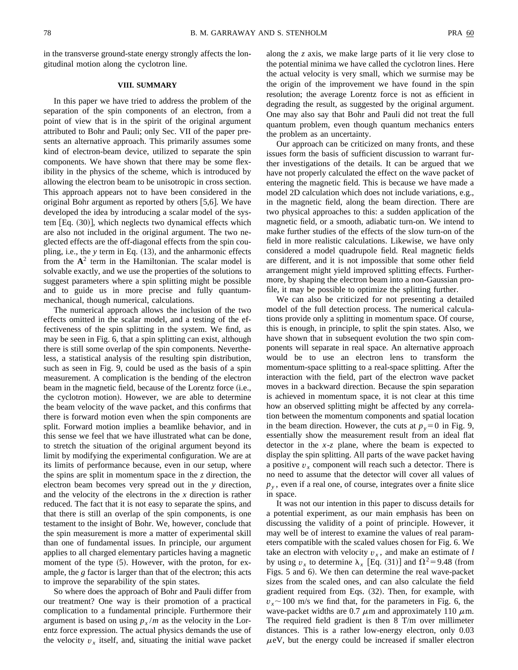in the transverse ground-state energy strongly affects the longitudinal motion along the cyclotron line.

#### **VIII. SUMMARY**

In this paper we have tried to address the problem of the separation of the spin components of an electron, from a point of view that is in the spirit of the original argument attributed to Bohr and Pauli; only Sec. VII of the paper presents an alternative approach. This primarily assumes some kind of electron-beam device, utilized to separate the spin components. We have shown that there may be some flexibility in the physics of the scheme, which is introduced by allowing the electron beam to be unisotropic in cross section. This approach appears not to have been considered in the original Bohr argument as reported by others  $[5,6]$ . We have developed the idea by introducing a scalar model of the system  $[Eq. (30)]$ , which neglects two dynamical effects which are also not included in the original argument. The two neglected effects are the off-diagonal effects from the spin coupling, i.e., the *y* term in Eq. (13), and the anharmonic effects from the  $A^2$  term in the Hamiltonian. The scalar model is solvable exactly, and we use the properties of the solutions to suggest parameters where a spin splitting might be possible and to guide us in more precise and fully quantummechanical, though numerical, calculations.

The numerical approach allows the inclusion of the two effects omitted in the scalar model, and a testing of the effectiveness of the spin splitting in the system. We find, as may be seen in Fig. 6, that a spin splitting can exist, although there is still some overlap of the spin components. Nevertheless, a statistical analysis of the resulting spin distribution, such as seen in Fig. 9, could be used as the basis of a spin measurement. A complication is the bending of the electron beam in the magnetic field, because of the Lorentz force (i.e., the cyclotron motion). However, we are able to determine the beam velocity of the wave packet, and this confirms that there is forward motion even when the spin components are split. Forward motion implies a beamlike behavior, and in this sense we feel that we have illustrated what can be done, to stretch the situation of the original argument beyond its limit by modifying the experimental configuration. We are at its limits of performance because, even in our setup, where the spins are split in momentum space in the *z* direction, the electron beam becomes very spread out in the *y* direction, and the velocity of the electrons in the *x* direction is rather reduced. The fact that it is not easy to separate the spins, and that there is still an overlap of the spin components, is one testament to the insight of Bohr. We, however, conclude that the spin measurement is more a matter of experimental skill than one of fundamental issues. In principle, our argument applies to all charged elementary particles having a magnetic moment of the type  $(5)$ . However, with the proton, for example, the *g* factor is larger than that of the electron; this acts to improve the separability of the spin states.

So where does the approach of Bohr and Pauli differ from our treatment? One way is their promotion of a practical complication to a fundamental principle. Furthermore their argument is based on using  $p_x/m$  as the velocity in the Lorentz force expression. The actual physics demands the use of the velocity  $v_x$  itself, and, situating the initial wave packet along the *z* axis, we make large parts of it lie very close to the potential minima we have called the cyclotron lines. Here the actual velocity is very small, which we surmise may be the origin of the improvement we have found in the spin resolution; the average Lorentz force is not as efficient in degrading the result, as suggested by the original argument. One may also say that Bohr and Pauli did not treat the full quantum problem, even though quantum mechanics enters the problem as an uncertainty.

Our approach can be criticized on many fronts, and these issues form the basis of sufficient discussion to warrant further investigations of the details. It can be argued that we have not properly calculated the effect on the wave packet of entering the magnetic field. This is because we have made a model 2D calculation which does not include variations, e.g., in the magnetic field, along the beam direction. There are two physical approaches to this: a sudden application of the magnetic field, or a smooth, adiabatic turn-on. We intend to make further studies of the effects of the slow turn-on of the field in more realistic calculations. Likewise, we have only considered a model quadrupole field. Real magnetic fields are different, and it is not impossible that some other field arrangement might yield improved splitting effects. Furthermore, by shaping the electron beam into a non-Gaussian profile, it may be possible to optimize the splitting further.

We can also be criticized for not presenting a detailed model of the full detection process. The numerical calculations provide only a splitting in momentum space. Of course, this is enough, in principle, to split the spin states. Also, we have shown that in subsequent evolution the two spin components will separate in real space. An alternative approach would be to use an electron lens to transform the momentum-space splitting to a real-space splitting. After the interaction with the field, part of the electron wave packet moves in a backward direction. Because the spin separation is achieved in momentum space, it is not clear at this time how an observed splitting might be affected by any correlation between the momentum components and spatial location in the beam direction. However, the cuts at  $p_y = 0$  in Fig. 9, essentially show the measurement result from an ideal flat detector in the *x*-*z* plane, where the beam is expected to display the spin splitting. All parts of the wave packet having a positive  $v_x$  component will reach such a detector. There is no need to assume that the detector will cover all values of *py* , even if a real one, of course, integrates over a finite slice in space.

It was not our intention in this paper to discuss details for a potential experiment, as our main emphasis has been on discussing the validity of a point of principle. However, it may well be of interest to examine the values of real parameters compatible with the scaled values chosen for Fig. 6. We take an electron with velocity  $v_x$ , and make an estimate of *l* by using  $v_x$  to determine  $\lambda_x$  [Eq. (31)] and  $\Omega^2 = 9.48$  (from Figs. 5 and 6). We then can determine the real wave-packet sizes from the scaled ones, and can also calculate the field gradient required from Eqs.  $(32)$ . Then, for example, with  $v_x \sim 100$  m/s we find that, for the parameters in Fig. 6, the wave-packet widths are 0.7  $\mu$ m and approximately 110  $\mu$ m. The required field gradient is then 8 T/m over millimeter distances. This is a rather low-energy electron, only 0.03  $\mu$ eV, but the energy could be increased if smaller electron